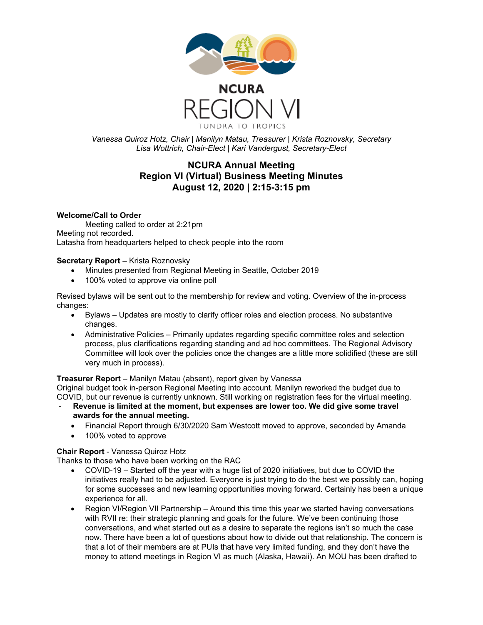

*Vanessa Quiroz Hotz, Chair | Manilyn Matau, Treasurer | Krista Roznovsky, Secretary Lisa Wottrich, Chair-Elect | Kari Vandergust, Secretary-Elect*

# **NCURA Annual Meeting Region VI (Virtual) Business Meeting Minutes August 12, 2020 | 2:15-3:15 pm**

# **Welcome/Call to Order**

Meeting called to order at 2:21pm Meeting not recorded. Latasha from headquarters helped to check people into the room

**Secretary Report** – Krista Roznovsky

- Minutes presented from Regional Meeting in Seattle, October 2019
- 100% voted to approve via online poll

Revised bylaws will be sent out to the membership for review and voting. Overview of the in-process changes:

- Bylaws Updates are mostly to clarify officer roles and election process. No substantive changes.
- Administrative Policies Primarily updates regarding specific committee roles and selection process, plus clarifications regarding standing and ad hoc committees. The Regional Advisory Committee will look over the policies once the changes are a little more solidified (these are still very much in process).

# **Treasurer Report** – Manilyn Matau (absent), report given by Vanessa

Original budget took in-person Regional Meeting into account. Manilyn reworked the budget due to COVID, but our revenue is currently unknown. Still working on registration fees for the virtual meeting.

- **Revenue is limited at the moment, but expenses are lower too. We did give some travel awards for the annual meeting.**
	- Financial Report through 6/30/2020 Sam Westcott moved to approve, seconded by Amanda
	- 100% voted to approve

# **Chair Report** - Vanessa Quiroz Hotz

Thanks to those who have been working on the RAC

- COVID-19 Started off the year with a huge list of 2020 initiatives, but due to COVID the initiatives really had to be adjusted. Everyone is just trying to do the best we possibly can, hoping for some successes and new learning opportunities moving forward. Certainly has been a unique experience for all.
- Region VI/Region VII Partnership Around this time this year we started having conversations with RVII re: their strategic planning and goals for the future. We've been continuing those conversations, and what started out as a desire to separate the regions isn't so much the case now. There have been a lot of questions about how to divide out that relationship. The concern is that a lot of their members are at PUIs that have very limited funding, and they don't have the money to attend meetings in Region VI as much (Alaska, Hawaii). An MOU has been drafted to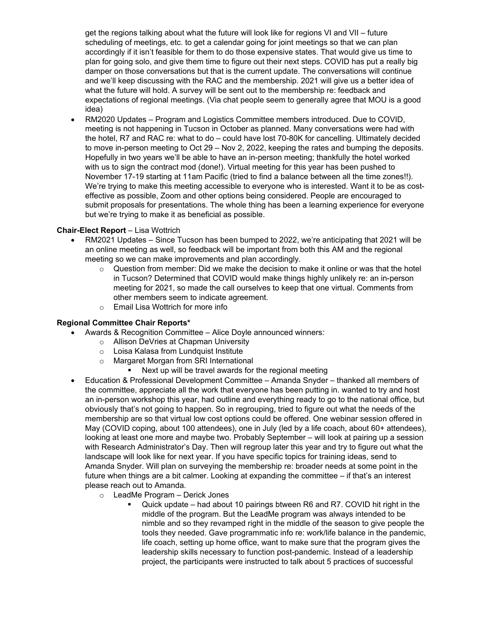get the regions talking about what the future will look like for regions VI and VII – future scheduling of meetings, etc. to get a calendar going for joint meetings so that we can plan accordingly if it isn't feasible for them to do those expensive states. That would give us time to plan for going solo, and give them time to figure out their next steps. COVID has put a really big damper on those conversations but that is the current update. The conversations will continue and we'll keep discussing with the RAC and the membership. 2021 will give us a better idea of what the future will hold. A survey will be sent out to the membership re: feedback and expectations of regional meetings. (Via chat people seem to generally agree that MOU is a good idea)

• RM2020 Updates – Program and Logistics Committee members introduced. Due to COVID, meeting is not happening in Tucson in October as planned. Many conversations were had with the hotel, R7 and RAC re: what to do – could have lost 70-80K for cancelling. Ultimately decided to move in-person meeting to Oct 29 – Nov 2, 2022, keeping the rates and bumping the deposits. Hopefully in two years we'll be able to have an in-person meeting; thankfully the hotel worked with us to sign the contract mod (done!). Virtual meeting for this year has been pushed to November 17-19 starting at 11am Pacific (tried to find a balance between all the time zones!!). We're trying to make this meeting accessible to everyone who is interested. Want it to be as costeffective as possible, Zoom and other options being considered. People are encouraged to submit proposals for presentations. The whole thing has been a learning experience for everyone but we're trying to make it as beneficial as possible.

# **Chair-Elect Report** – Lisa Wottrich

- RM2021 Updates Since Tucson has been bumped to 2022, we're anticipating that 2021 will be an online meeting as well, so feedback will be important from both this AM and the regional meeting so we can make improvements and plan accordingly.
	- $\circ$  Question from member: Did we make the decision to make it online or was that the hotel in Tucson? Determined that COVID would make things highly unlikely re: an in-person meeting for 2021, so made the call ourselves to keep that one virtual. Comments from other members seem to indicate agreement.
	- o Email Lisa Wottrich for more info

# **Regional Committee Chair Reports\***

- Awards & Recognition Committee Alice Doyle announced winners:
	- o Allison DeVries at Chapman University
	- o Loisa Kalasa from Lundquist Institute
	- o Margaret Morgan from SRI International
		- Next up will be travel awards for the regional meeting
	- Education & Professional Development Committee Amanda Snyder thanked all members of the committee, appreciate all the work that everyone has been putting in. wanted to try and host an in-person workshop this year, had outline and everything ready to go to the national office, but obviously that's not going to happen. So in regrouping, tried to figure out what the needs of the membership are so that virtual low cost options could be offered. One webinar session offered in May (COVID coping, about 100 attendees), one in July (led by a life coach, about 60+ attendees), looking at least one more and maybe two. Probably September – will look at pairing up a session with Research Administrator's Day. Then will regroup later this year and try to figure out what the landscape will look like for next year. If you have specific topics for training ideas, send to Amanda Snyder. Will plan on surveying the membership re: broader needs at some point in the future when things are a bit calmer. Looking at expanding the committee – if that's an interest please reach out to Amanda.
		- o LeadMe Program Derick Jones
			- Quick update had about 10 pairings btween R6 and R7. COVID hit right in the middle of the program. But the LeadMe program was always intended to be nimble and so they revamped right in the middle of the season to give people the tools they needed. Gave programmatic info re: work/life balance in the pandemic, life coach, setting up home office, want to make sure that the program gives the leadership skills necessary to function post-pandemic. Instead of a leadership project, the participants were instructed to talk about 5 practices of successful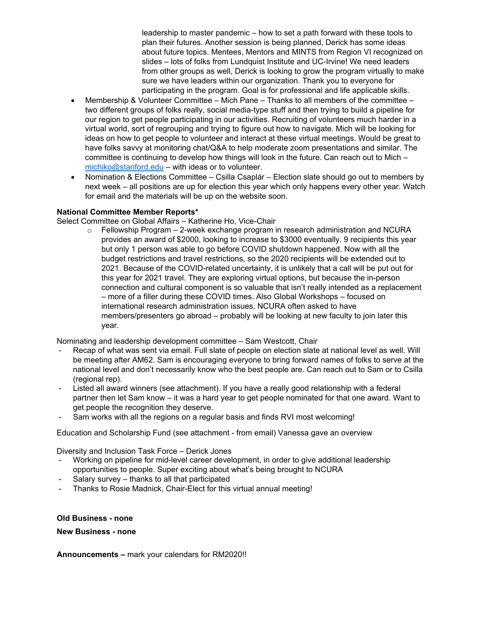leadership to master pandemic – how to set a path forward with these tools to plan their futures. Another session is being planned, Derick has some ideas about future topics. Mentees, Mentors and MINTS from Region VI recognized on slides – lots of folks from Lundquist Institute and UC-Irvine! We need leaders from other groups as well, Derick is looking to grow the program virtually to make sure we have leaders within our organization. Thank you to everyone for participating in the program. Goal is for professional and life applicable skills.

- Membership & Volunteer Committee Mich Pane Thanks to all members of the committee two different groups of folks really, social media-type stuff and then trying to build a pipeline for our region to get people participating in our activities. Recruiting of volunteers much harder in a virtual world, sort of regrouping and trying to figure out how to navigate. Mich will be looking for ideas on how to get people to volunteer and interact at these virtual meetings. Would be great to have folks savvy at monitoring chat/Q&A to help moderate zoom presentations and similar. The committee is continuing to develop how things will look in the future. Can reach out to Mich – [michiko@stanford.edu](mailto:michiko@stanford.edu) – with ideas or to volunteer.
- Nomination & Elections Committee Csilla Csaplár Election slate should go out to members by next week – all positions are up for election this year which only happens every other year. Watch for email and the materials will be up on the website soon.

# **National Committee Member Reports\***

Select Committee on Global Affairs – Katherine Ho, Vice-Chair

 $\circ$  Fellowship Program – 2-week exchange program in research administration and NCURA provides an award of \$2000, looking to increase to \$3000 eventually. 9 recipients this year but only 1 person was able to go before COVID shutdown happened. Now with all the budget restrictions and travel restrictions, so the 2020 recipients will be extended out to 2021. Because of the COVID-related uncertainty, it is unlikely that a call will be put out for this year for 2021 travel. They are exploring virtual options, but because the in-person connection and cultural component is so valuable that isn't really intended as a replacement – more of a filler during these COVID times. Also Global Workshops – focused on international research administration issues, NCURA often asked to have members/presenters go abroad – probably will be looking at new faculty to join later this year.

Nominating and leadership development committee – Sam Westcott, Chair

- Recap of what was sent via email. Full slate of people on election slate at national level as well. Will be meeting after AM62. Sam is encouraging everyone to bring forward names of folks to serve at the national level and don't necessarily know who the best people are. Can reach out to Sam or to Csilla (regional rep).
- Listed all award winners (see attachment). If you have a really good relationship with a federal partner then let Sam know – it was a hard year to get people nominated for that one award. Want to get people the recognition they deserve.
- Sam works with all the regions on a regular basis and finds RVI most welcoming!

Education and Scholarship Fund (see attachment - from email) Vanessa gave an overview

Diversity and Inclusion Task Force – Derick Jones

- Working on pipeline for mid-level career development, in order to give additional leadership opportunities to people. Super exciting about what's being brought to NCURA
- Salary survey thanks to all that participated
- Thanks to Rosie Madnick, Chair-Elect for this virtual annual meeting!

#### **Old Business - none**

**New Business - none** 

**Announcements –** mark your calendars for RM2020!!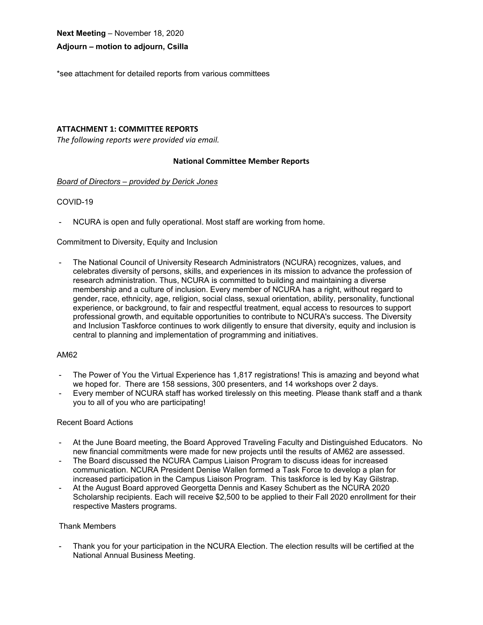**Next Meeting** – November 18, 2020

#### **Adjourn – motion to adjourn, Csilla**

\*see attachment for detailed reports from various committees

#### **ATTACHMENT 1: COMMITTEE REPORTS**

*The following reports were provided via email.*

#### **National Committee Member Reports**

#### *Board of Directors – provided by Derick Jones*

#### COVID-19

- NCURA is open and fully operational. Most staff are working from home.

#### Commitment to Diversity, Equity and Inclusion

- The National Council of University Research Administrators (NCURA) recognizes, values, and celebrates diversity of persons, skills, and experiences in its mission to advance the profession of research administration. Thus, NCURA is committed to building and maintaining a diverse membership and a culture of inclusion. Every member of NCURA has a right, without regard to gender, race, ethnicity, age, religion, social class, sexual orientation, ability, personality, functional experience, or background, to fair and respectful treatment, equal access to resources to support professional growth, and equitable opportunities to contribute to NCURA's success. The Diversity and Inclusion Taskforce continues to work diligently to ensure that diversity, equity and inclusion is central to planning and implementation of programming and initiatives.

#### AM62

- The Power of You the Virtual Experience has 1,817 registrations! This is amazing and beyond what we hoped for. There are 158 sessions, 300 presenters, and 14 workshops over 2 days.
- Every member of NCURA staff has worked tirelessly on this meeting. Please thank staff and a thank you to all of you who are participating!

#### Recent Board Actions

- At the June Board meeting, the Board Approved Traveling Faculty and Distinguished Educators. No new financial commitments were made for new projects until the results of AM62 are assessed.
- The Board discussed the NCURA Campus Liaison Program to discuss ideas for increased communication. NCURA President Denise Wallen formed a Task Force to develop a plan for increased participation in the Campus Liaison Program. This taskforce is led by Kay Gilstrap.
- At the August Board approved Georgetta Dennis and Kasey Schubert as the NCURA 2020 Scholarship recipients. Each will receive \$2,500 to be applied to their Fall 2020 enrollment for their respective Masters programs.

#### Thank Members

Thank you for your participation in the NCURA Election. The election results will be certified at the National Annual Business Meeting.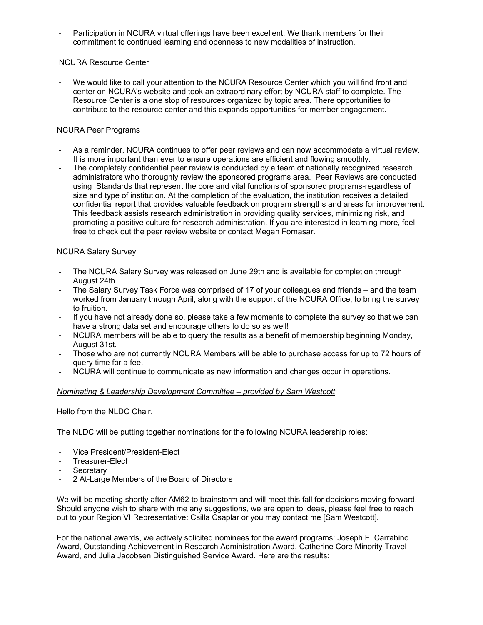- Participation in NCURA virtual offerings have been excellent. We thank members for their commitment to continued learning and openness to new modalities of instruction.

# NCURA Resource Center

We would like to call your attention to the NCURA Resource Center which you will find front and center on NCURA's website and took an extraordinary effort by NCURA staff to complete. The Resource Center is a one stop of resources organized by topic area. There opportunities to contribute to the resource center and this expands opportunities for member engagement.

# NCURA Peer Programs

- As a reminder, NCURA continues to offer peer reviews and can now accommodate a virtual review. It is more important than ever to ensure operations are efficient and flowing smoothly.
- The completely confidential peer review is conducted by a team of nationally recognized research administrators who thoroughly review the sponsored programs area. Peer Reviews are conducted using Standards that represent the core and vital functions of sponsored programs-regardless of size and type of institution. At the completion of the evaluation, the institution receives a detailed confidential report that provides valuable feedback on program strengths and areas for improvement. This feedback assists research administration in providing quality services, minimizing risk, and promoting a positive culture for research administration. If you are interested in learning more, feel free to check out the peer review website or contact Megan Fornasar.

#### NCURA Salary Survey

- The NCURA Salary Survey was released on June 29th and is available for completion through August 24th.
- The Salary Survey Task Force was comprised of 17 of your colleagues and friends and the team worked from January through April, along with the support of the NCURA Office, to bring the survey to fruition.
- If you have not already done so, please take a few moments to complete the survey so that we can have a strong data set and encourage others to do so as well!
- NCURA members will be able to query the results as a benefit of membership beginning Monday, August 31st.
- Those who are not currently NCURA Members will be able to purchase access for up to 72 hours of query time for a fee.
- NCURA will continue to communicate as new information and changes occur in operations.

#### *Nominating & Leadership Development Committee – provided by Sam Westcott*

Hello from the NLDC Chair,

The NLDC will be putting together nominations for the following NCURA leadership roles:

- Vice President/President-Elect
- Treasurer-Elect
- **Secretary**
- 2 At-Large Members of the Board of Directors

We will be meeting shortly after AM62 to brainstorm and will meet this fall for decisions moving forward. Should anyone wish to share with me any suggestions, we are open to ideas, please feel free to reach out to your Region VI Representative: Csilla Csaplar or you may contact me [Sam Westcott].

For the national awards, we actively solicited nominees for the award programs: Joseph F. Carrabino Award, Outstanding Achievement in Research Administration Award, Catherine Core Minority Travel Award, and Julia Jacobsen Distinguished Service Award. Here are the results: